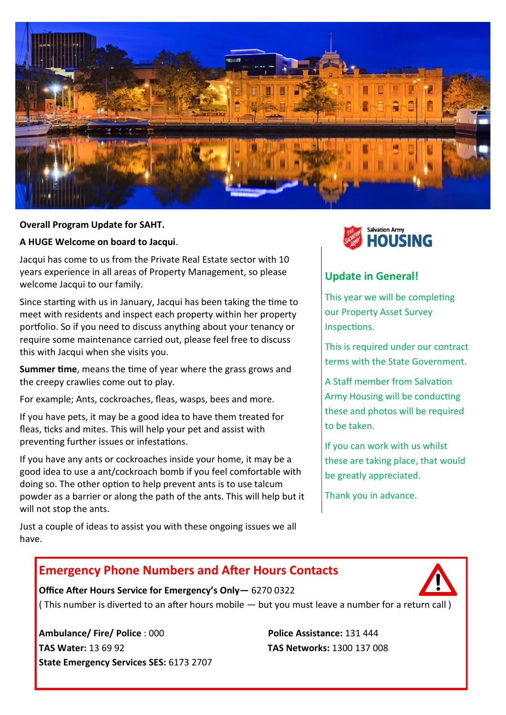

# **Overall Program Update for SAHT.** *Authorian Brown Brown Brown Brown Brown Brown Brown Brown Brown Brown Brown Brown Brown Brown Brown Brown Brown Brown Brown Brown Brown Brown Brown Brown Brown Brown Brown Brown Brown B*

**A HUGE Welcome on board to Jacqui**.

Jacqui has come to us from the Private Real Estate sector with 10 years experience in all areas of Property Management, so please welcome Jacqui to our family.

Since starting with us in January, Jacqui has been taking the time to meet with residents and inspect each property within her property portfolio. So if you need to discuss anything about your tenancy or require some maintenance carried out, please feel free to discuss this with Jacqui when she visits you.

**Summer time**, means the time of year where the grass grows and the creepy crawlies come out to play.

For example; Ants, cockroaches, fleas, wasps, bees and more.

If you have pets, it may be a good idea to have them treated for fleas, ticks and mites. This will help your pet and assist with preventing further issues or infestations.

If you have any ants or cockroaches inside your home, it may be a good idea to use a ant/cockroach bomb if you feel comfortable with doing so. The other option to help prevent ants is to use talcum powder as a barrier or along the path of the ants. This will help but it will not stop the ants.

Just a couple of ideas to assist you with these ongoing issues we all have.



## **Update in General!**

This year we will be completing our Property Asset Survey Inspections.

This is required under our contract terms with the State Government.

A Staff member from Salvation Army Housing will be conducting these and photos will be required to be taken.

If you can work with us whilst these are taking place, that would be greatly appreciated.

Thank you in advance.

## **Emergency Phone Numbers and After Hours Contacts**



**Office After Hours Service for Emergency's Only—** 6270 0322 ( This number is diverted to an after hours mobile — but you must leave a number for a return call )

**Ambulance/ Fire/ Police** : 000 **Police Assistance:** 131 444 **TAS Water:** 13 69 92 **TAS Networks:** 1300 137 008 **State Emergency Services SES:** 6173 2707